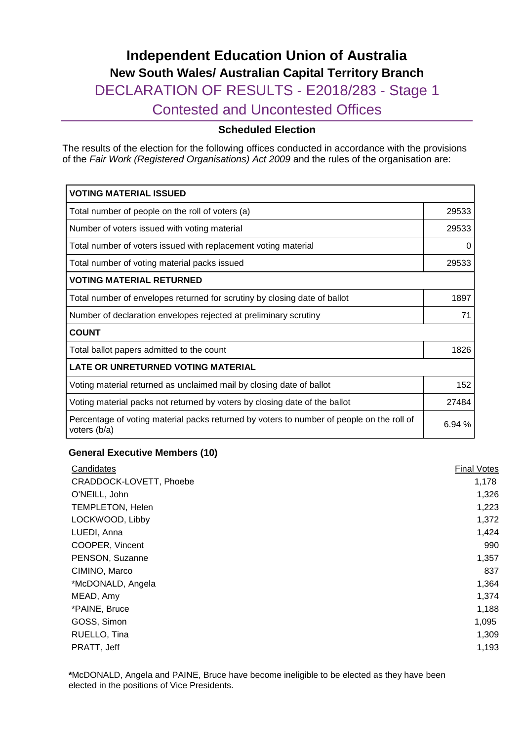# **Independent Education Union of Australia New South Wales/ Australian Capital Territory Branch** DECLARATION OF RESULTS - E2018/283 - Stage 1 Contested and Uncontested Offices

### **Scheduled Election**

The results of the election for the following offices conducted in accordance with the provisions of the *Fair Work (Registered Organisations) Act 2009* and the rules of the organisation are:

| <b>VOTING MATERIAL ISSUED</b>                                                                             |          |  |
|-----------------------------------------------------------------------------------------------------------|----------|--|
| Total number of people on the roll of voters (a)                                                          | 29533    |  |
| Number of voters issued with voting material                                                              | 29533    |  |
| Total number of voters issued with replacement voting material                                            | $\Omega$ |  |
| Total number of voting material packs issued                                                              | 29533    |  |
| <b>VOTING MATERIAL RETURNED</b>                                                                           |          |  |
| Total number of envelopes returned for scrutiny by closing date of ballot                                 | 1897     |  |
| Number of declaration envelopes rejected at preliminary scrutiny                                          |          |  |
| <b>COUNT</b>                                                                                              |          |  |
| Total ballot papers admitted to the count                                                                 | 1826     |  |
| <b>LATE OR UNRETURNED VOTING MATERIAL</b>                                                                 |          |  |
| Voting material returned as unclaimed mail by closing date of ballot                                      | 152      |  |
| Voting material packs not returned by voters by closing date of the ballot                                |          |  |
| Percentage of voting material packs returned by voters to number of people on the roll of<br>voters (b/a) |          |  |

#### **General Executive Members (10)**

| Candidates              | <b>Final Votes</b> |
|-------------------------|--------------------|
| CRADDOCK-LOVETT, Phoebe | 1,178              |
| O'NEILL, John           | 1,326              |
| TEMPLETON, Helen        | 1,223              |
| LOCKWOOD, Libby         | 1,372              |
| LUEDI, Anna             | 1,424              |
| COOPER, Vincent         | 990                |
| PENSON, Suzanne         | 1,357              |
| CIMINO, Marco           | 837                |
| *McDONALD, Angela       | 1,364              |
| MEAD, Amy               | 1,374              |
| *PAINE, Bruce           | 1,188              |
| GOSS, Simon             | 1,095              |
| RUELLO, Tina            | 1,309              |
| PRATT, Jeff             | 1,193              |

**\***McDONALD, Angela and PAINE, Bruce have become ineligible to be elected as they have been elected in the positions of Vice Presidents.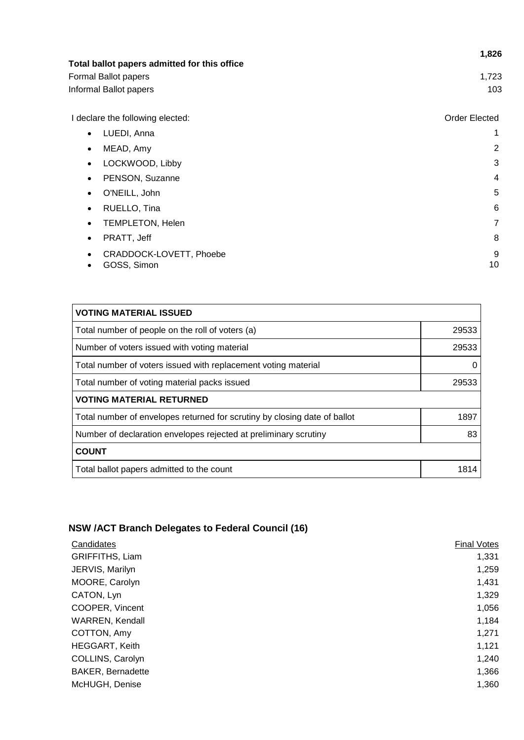| Total ballot papers admitted for this office     | 1,826                |
|--------------------------------------------------|----------------------|
| Formal Ballot papers                             | 1,723                |
| Informal Ballot papers                           | 103                  |
| I declare the following elected:                 | <b>Order Elected</b> |
| LUEDI, Anna<br>$\bullet$                         | 1                    |
| MEAD, Amy<br>$\bullet$                           | 2                    |
| LOCKWOOD, Libby<br>$\bullet$                     | 3                    |
| PENSON, Suzanne<br>$\bullet$                     | 4                    |
| O'NEILL, John<br>٠                               | 5                    |
| RUELLO, Tina<br>$\bullet$                        | 6                    |
| <b>TEMPLETON, Helen</b><br>٠                     | 7                    |
| PRATT, Jeff<br>٠                                 | 8                    |
| CRADDOCK-LOVETT, Phoebe<br>٠<br>GOSS, Simon<br>٠ | 9<br>10              |

| <b>VOTING MATERIAL ISSUED</b>                                             |       |  |
|---------------------------------------------------------------------------|-------|--|
| Total number of people on the roll of voters (a)                          | 29533 |  |
| Number of voters issued with voting material                              | 29533 |  |
| Total number of voters issued with replacement voting material            | O     |  |
| Total number of voting material packs issued                              | 29533 |  |
| <b>VOTING MATERIAL RETURNED</b>                                           |       |  |
| Total number of envelopes returned for scrutiny by closing date of ballot | 1897  |  |
| Number of declaration envelopes rejected at preliminary scrutiny          |       |  |
| <b>COUNT</b>                                                              |       |  |
| Total ballot papers admitted to the count                                 | 1814  |  |

# **NSW /ACT Branch Delegates to Federal Council (16)**

| Candidates               | <b>Final Votes</b> |
|--------------------------|--------------------|
| GRIFFITHS, Liam          | 1,331              |
| JERVIS, Marilyn          | 1,259              |
| MOORE, Carolyn           | 1,431              |
| CATON, Lyn               | 1,329              |
| COOPER, Vincent          | 1,056              |
| WARREN, Kendall          | 1,184              |
| COTTON, Amy              | 1,271              |
| <b>HEGGART, Keith</b>    | 1,121              |
| COLLINS, Carolyn         | 1,240              |
| <b>BAKER, Bernadette</b> | 1,366              |
| McHUGH, Denise           | 1,360              |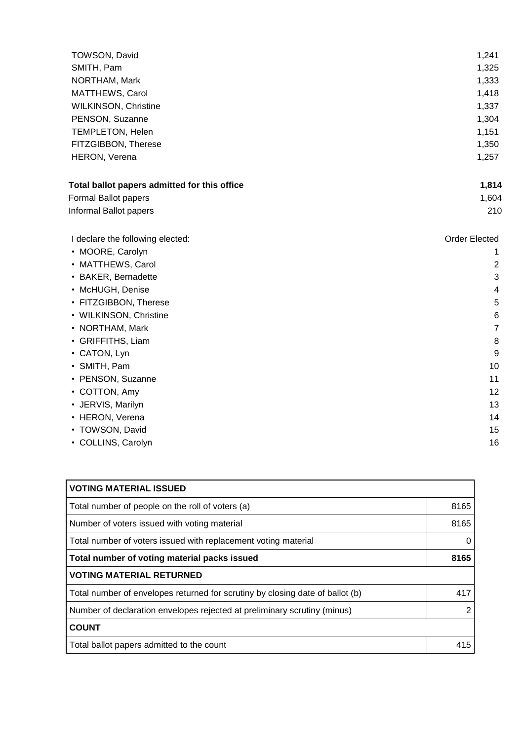| TOWSON, David                                | 1,241                |
|----------------------------------------------|----------------------|
| SMITH, Pam                                   | 1,325                |
| NORTHAM, Mark                                | 1,333                |
| MATTHEWS, Carol                              | 1,418                |
| <b>WILKINSON, Christine</b>                  | 1,337                |
| PENSON, Suzanne                              | 1,304                |
| <b>TEMPLETON, Helen</b>                      | 1,151                |
| FITZGIBBON, Therese                          | 1,350                |
| HERON, Verena                                | 1,257                |
| Total ballot papers admitted for this office | 1,814                |
| Formal Ballot papers                         | 1,604                |
| Informal Ballot papers                       | 210                  |
| I declare the following elected:             | <b>Order Elected</b> |
| • MOORE, Carolyn                             | 1                    |
| • MATTHEWS, Carol                            | $\overline{2}$       |
| • BAKER, Bernadette                          | 3                    |
| • McHUGH, Denise                             | 4                    |
| • FITZGIBBON, Therese                        | 5                    |
| • WILKINSON, Christine                       | 6                    |
| • NORTHAM, Mark                              | $\overline{7}$       |
| • GRIFFITHS, Liam                            | 8                    |
| • CATON, Lyn                                 | 9                    |
| • SMITH, Pam                                 | 10                   |
| • PENSON, Suzanne                            | 11                   |
| • COTTON, Amy                                | 12                   |
| • JERVIS, Marilyn                            | 13                   |
| • HERON, Verena                              | 14                   |
| • TOWSON, David                              | 15                   |
| • COLLINS, Carolyn                           | 16                   |

| <b>VOTING MATERIAL ISSUED</b>                                                 |      |
|-------------------------------------------------------------------------------|------|
| Total number of people on the roll of voters (a)                              | 8165 |
| Number of voters issued with voting material                                  | 8165 |
| Total number of voters issued with replacement voting material                | 0    |
| Total number of voting material packs issued                                  |      |
| <b>VOTING MATERIAL RETURNED</b>                                               |      |
| Total number of envelopes returned for scrutiny by closing date of ballot (b) | 417  |
| Number of declaration envelopes rejected at preliminary scrutiny (minus)      |      |
| <b>COUNT</b>                                                                  |      |
| Total ballot papers admitted to the count                                     | 415  |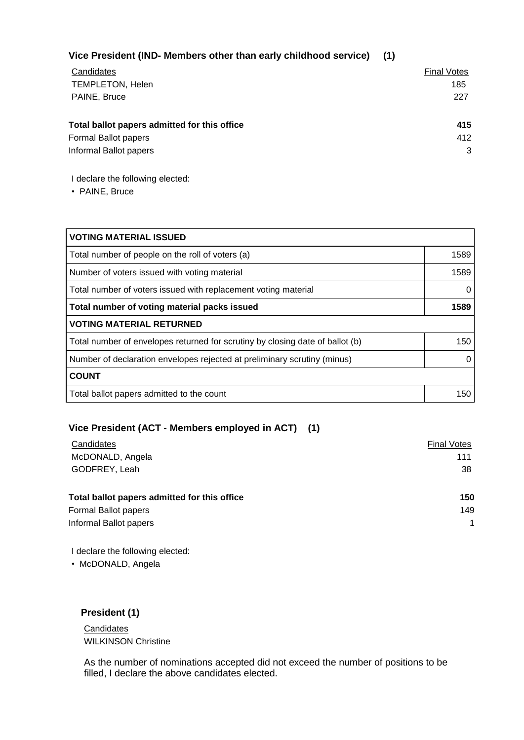| Vice President (IND- Members other than early childhood service) (1) |  |
|----------------------------------------------------------------------|--|
|                                                                      |  |

| Candidates                                   | <b>Final Votes</b> |
|----------------------------------------------|--------------------|
| <b>TEMPLETON, Helen</b>                      | 185                |
| PAINE, Bruce                                 | 227                |
|                                              |                    |
| Total ballot papers admitted for this office | 415                |
| Formal Ballot papers                         | 412                |
| Informal Ballot papers                       | 3                  |
|                                              |                    |

I declare the following elected:

• PAINE, Bruce

| <b>VOTING MATERIAL ISSUED</b>                                                 |      |  |
|-------------------------------------------------------------------------------|------|--|
| Total number of people on the roll of voters (a)                              | 1589 |  |
| Number of voters issued with voting material                                  | 1589 |  |
| Total number of voters issued with replacement voting material                |      |  |
| Total number of voting material packs issued                                  |      |  |
| <b>VOTING MATERIAL RETURNED</b>                                               |      |  |
| Total number of envelopes returned for scrutiny by closing date of ballot (b) | 150  |  |
| Number of declaration envelopes rejected at preliminary scrutiny (minus)      |      |  |
| <b>COUNT</b>                                                                  |      |  |
| Total ballot papers admitted to the count                                     | 150  |  |

## **Vice President (ACT - Members employed in ACT) (1)**

| Candidates                                   | <b>Final Votes</b> |
|----------------------------------------------|--------------------|
| McDONALD, Angela                             | 111                |
| GODFREY, Leah                                | 38                 |
| Total ballot papers admitted for this office | 150                |
| Formal Ballot papers                         | 149                |
| Informal Ballot papers                       | 1                  |

I declare the following elected:

• McDONALD, Angela

**President (1)**

Candidates WILKINSON Christine

As the number of nominations accepted did not exceed the number of positions to be filled, I declare the above candidates elected.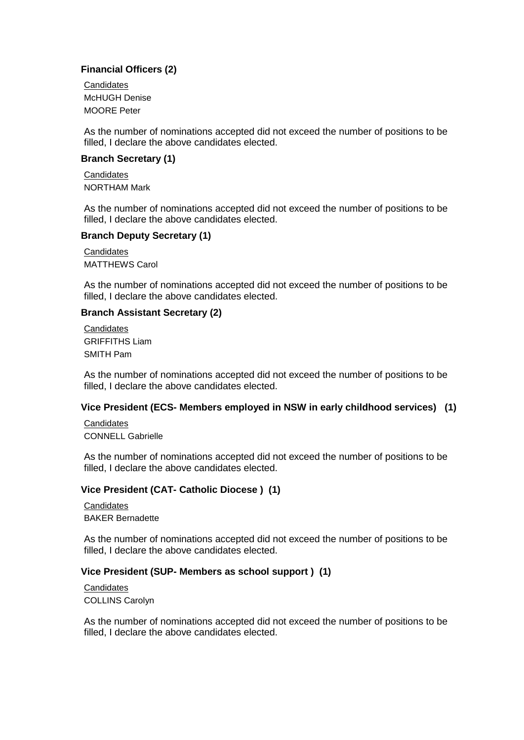#### **Financial Officers (2)**

**Candidates** McHUGH Denise MOORE Peter

As the number of nominations accepted did not exceed the number of positions to be filled, I declare the above candidates elected.

#### **Branch Secretary (1)**

**Candidates** NORTHAM Mark

As the number of nominations accepted did not exceed the number of positions to be filled, I declare the above candidates elected.

#### **Branch Deputy Secretary (1)**

**Candidates** MATTHEWS Carol

As the number of nominations accepted did not exceed the number of positions to be filled, I declare the above candidates elected.

#### **Branch Assistant Secretary (2)**

**Candidates** GRIFFITHS Liam SMITH Pam

As the number of nominations accepted did not exceed the number of positions to be filled, I declare the above candidates elected.

#### **Vice President (ECS- Members employed in NSW in early childhood services) (1)**

**Candidates** CONNELL Gabrielle

As the number of nominations accepted did not exceed the number of positions to be filled, I declare the above candidates elected.

#### **Vice President (CAT- Catholic Diocese ) (1)**

**Candidates** BAKER Bernadette

As the number of nominations accepted did not exceed the number of positions to be filled, I declare the above candidates elected.

#### **Vice President (SUP- Members as school support ) (1)**

**Candidates** COLLINS Carolyn

As the number of nominations accepted did not exceed the number of positions to be filled, I declare the above candidates elected.